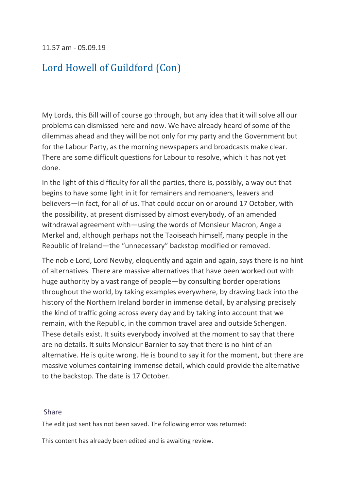11.57 am - 05.09.19

### [Lord Howell of Guildford \(Con\)](https://hansard.parliament.uk/search/MemberContributions?house=Lords&memberId=993)

My Lords, this Bill will of course go through, but any idea that it will solve all our problems can dismissed here and now. We have already heard of some of the dilemmas ahead and they will be not only for my party and the Government but for the Labour Party, as the morning newspapers and broadcasts make clear. There are some difficult questions for Labour to resolve, which it has not yet done.

In the light of this difficulty for all the parties, there is, possibly, a way out that begins to have some light in it for remainers and remoaners, leavers and believers—in fact, for all of us. That could occur on or around 17 October, with the possibility, at present dismissed by almost everybody, of an amended withdrawal agreement with—using the words of Monsieur Macron, Angela Merkel and, although perhaps not the Taoiseach himself, many people in the Republic of Ireland—the "unnecessary" backstop modified or removed.

The noble Lord, Lord Newby, eloquently and again and again, says there is no hint of alternatives. There are massive alternatives that have been worked out with huge authority by a vast range of people—by consulting border operations throughout the world, by taking examples everywhere, by drawing back into the history of the Northern Ireland border in immense detail, by analysing precisely the kind of traffic going across every day and by taking into account that we remain, with the Republic, in the common travel area and outside Schengen. These details exist. It suits everybody involved at the moment to say that there are no details. It suits Monsieur Barnier to say that there is no hint of an alternative. He is quite wrong. He is bound to say it for the moment, but there are massive volumes containing immense detail, which could provide the alternative to the backstop. The date is 17 October.

#### [Share](https://hansard.parliament.uk/Lords/2019-09-05/debates/0AB50141-B0D1-4B6B-B9CA-92D27BD7E06C/EuropeanUnion(Withdrawal)(No6)Bill#contribution-7EBD7D22-E4AF-41D2-B3AB-71F270C60213)

The edit just sent has not been saved. The following error was returned:

This content has already been edited and is awaiting review.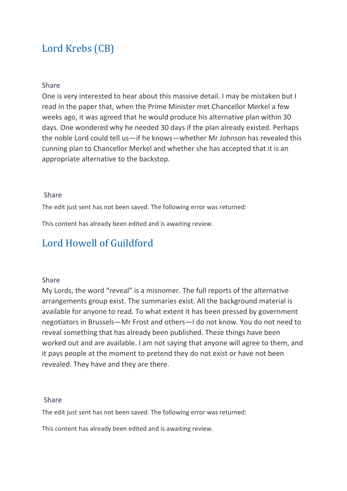# [Lord Krebs \(CB\)](https://hansard.parliament.uk/search/MemberContributions?house=Lords&memberId=3736)

#### [Share](https://hansard.parliament.uk/Lords/2019-09-05/debates/0AB50141-B0D1-4B6B-B9CA-92D27BD7E06C/EuropeanUnion(Withdrawal)(No6)Bill#contribution-892FF8C1-BF91-4E8B-BF65-8ECDA880C2B5)

One is very interested to hear about this massive detail. I may be mistaken but I read in the paper that, when the Prime Minister met Chancellor Merkel a few weeks ago, it was agreed that he would produce his alternative plan within 30 days. One wondered why he needed 30 days if the plan already existed. Perhaps the noble Lord could tell us—if he knows—whether Mr Johnson has revealed this cunning plan to Chancellor Merkel and whether she has accepted that it is an appropriate alternative to the backstop.

#### [Share](https://hansard.parliament.uk/Lords/2019-09-05/debates/0AB50141-B0D1-4B6B-B9CA-92D27BD7E06C/EuropeanUnion(Withdrawal)(No6)Bill#contribution-892FF8C1-BF91-4E8B-BF65-8ECDA880C2B5)

The edit just sent has not been saved. The following error was returned:

This content has already been edited and is awaiting review.

### [Lord Howell of Guildford](https://hansard.parliament.uk/search/MemberContributions?house=Lords&memberId=993)

#### [Share](https://hansard.parliament.uk/Lords/2019-09-05/debates/0AB50141-B0D1-4B6B-B9CA-92D27BD7E06C/EuropeanUnion(Withdrawal)(No6)Bill#contribution-9658BEE6-CC1C-46D0-AE00-071D0FB3E852)

My Lords, the word "reveal" is a misnomer. The full reports of the alternative arrangements group exist. The summaries exist. All the background material is available for anyone to read. To what extent it has been pressed by government negotiators in Brussels—Mr Frost and others—I do not know. You do not need to reveal something that has already been published. These things have been worked out and are available. I am not saying that anyone will agree to them, and it pays people at the moment to pretend they do not exist or have not been revealed. They have and they are there.

#### [Share](https://hansard.parliament.uk/Lords/2019-09-05/debates/0AB50141-B0D1-4B6B-B9CA-92D27BD7E06C/EuropeanUnion(Withdrawal)(No6)Bill#contribution-9658BEE6-CC1C-46D0-AE00-071D0FB3E852)

The edit just sent has not been saved. The following error was returned:

This content has already been edited and is awaiting review.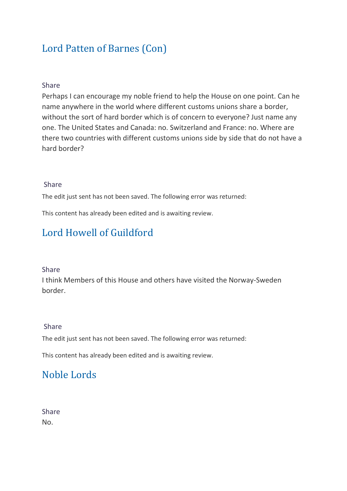# [Lord Patten of Barnes \(Con\)](https://hansard.parliament.uk/search/MemberContributions?house=Lords&memberId=1136)

### [Share](https://hansard.parliament.uk/Lords/2019-09-05/debates/0AB50141-B0D1-4B6B-B9CA-92D27BD7E06C/EuropeanUnion(Withdrawal)(No6)Bill#contribution-3538BD6E-309A-47D6-AC5C-551B15099911)

Perhaps I can encourage my noble friend to help the House on one point. Can he name anywhere in the world where different customs unions share a border, without the sort of hard border which is of concern to everyone? Just name any one. The United States and Canada: no. Switzerland and France: no. Where are there two countries with different customs unions side by side that do not have a hard border?

#### [Share](https://hansard.parliament.uk/Lords/2019-09-05/debates/0AB50141-B0D1-4B6B-B9CA-92D27BD7E06C/EuropeanUnion(Withdrawal)(No6)Bill#contribution-3538BD6E-309A-47D6-AC5C-551B15099911)

The edit just sent has not been saved. The following error was returned:

This content has already been edited and is awaiting review.

### [Lord Howell of Guildford](https://hansard.parliament.uk/search/MemberContributions?house=Lords&memberId=993)

#### [Share](https://hansard.parliament.uk/Lords/2019-09-05/debates/0AB50141-B0D1-4B6B-B9CA-92D27BD7E06C/EuropeanUnion(Withdrawal)(No6)Bill#contribution-CBCE4556-CD42-44D6-9E43-5A9735567B5F)

I think Members of this House and others have visited the Norway-Sweden border.

#### [Share](https://hansard.parliament.uk/Lords/2019-09-05/debates/0AB50141-B0D1-4B6B-B9CA-92D27BD7E06C/EuropeanUnion(Withdrawal)(No6)Bill#contribution-CBCE4556-CD42-44D6-9E43-5A9735567B5F)

The edit just sent has not been saved. The following error was returned:

This content has already been edited and is awaiting review.

### [Noble Lords](https://hansard.parliament.uk/search/MemberContributions?house=Lords&memberId=0)

[Share](https://hansard.parliament.uk/Lords/2019-09-05/debates/0AB50141-B0D1-4B6B-B9CA-92D27BD7E06C/EuropeanUnion(Withdrawal)(No6)Bill#contribution-5C909D84-FF0F-41A0-9F98-B6FA08729020)  No.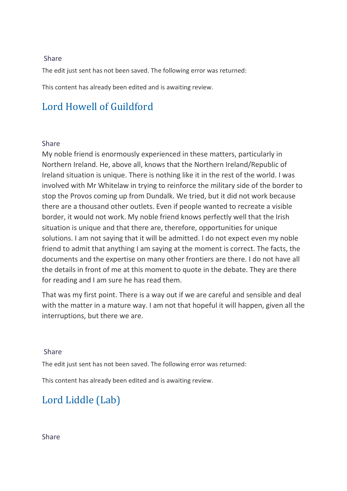### [Share](https://hansard.parliament.uk/Lords/2019-09-05/debates/0AB50141-B0D1-4B6B-B9CA-92D27BD7E06C/EuropeanUnion(Withdrawal)(No6)Bill#contribution-5C909D84-FF0F-41A0-9F98-B6FA08729020)

The edit just sent has not been saved. The following error was returned:

This content has already been edited and is awaiting review.

# [Lord Howell of Guildford](https://hansard.parliament.uk/search/MemberContributions?house=Lords&memberId=993)

### [Share](https://hansard.parliament.uk/Lords/2019-09-05/debates/0AB50141-B0D1-4B6B-B9CA-92D27BD7E06C/EuropeanUnion(Withdrawal)(No6)Bill#contribution-1EC487F5-8A17-4E55-B06F-1F1A5E319586)

My noble friend is enormously experienced in these matters, particularly in Northern Ireland. He, above all, knows that the Northern Ireland/Republic of Ireland situation is unique. There is nothing like it in the rest of the world. I was involved with Mr Whitelaw in trying to reinforce the military side of the border to stop the Provos coming up from Dundalk. We tried, but it did not work because there are a thousand other outlets. Even if people wanted to recreate a visible border, it would not work. My noble friend knows perfectly well that the Irish situation is unique and that there are, therefore, opportunities for unique solutions. I am not saying that it will be admitted. I do not expect even my noble friend to admit that anything I am saying at the moment is correct. The facts, the documents and the expertise on many other frontiers are there. I do not have all the details in front of me at this moment to quote in the debate. They are there for reading and I am sure he has read them.

That was my first point. There is a way out if we are careful and sensible and deal with the matter in a mature way. I am not that hopeful it will happen, given all the interruptions, but there we are.

### [Share](https://hansard.parliament.uk/Lords/2019-09-05/debates/0AB50141-B0D1-4B6B-B9CA-92D27BD7E06C/EuropeanUnion(Withdrawal)(No6)Bill#contribution-1EC487F5-8A17-4E55-B06F-1F1A5E319586)

The edit just sent has not been saved. The following error was returned:

This content has already been edited and is awaiting review.

### [Lord Liddle \(Lab\)](https://hansard.parliament.uk/search/MemberContributions?house=Lords&memberId=4156)

#### [Share](https://hansard.parliament.uk/Lords/2019-09-05/debates/0AB50141-B0D1-4B6B-B9CA-92D27BD7E06C/EuropeanUnion(Withdrawal)(No6)Bill#contribution-8DE0DD7B-29AA-44BC-BCC4-76C24887E8DE)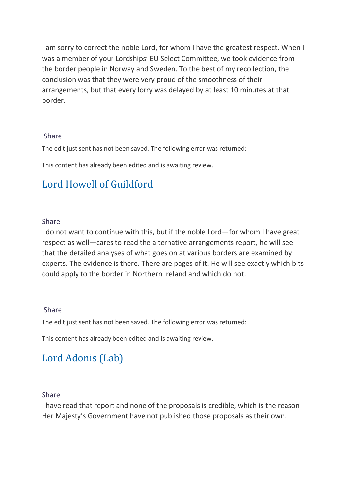I am sorry to correct the noble Lord, for whom I have the greatest respect. When I was a member of your Lordships' EU Select Committee, we took evidence from the border people in Norway and Sweden. To the best of my recollection, the conclusion was that they were very proud of the smoothness of their arrangements, but that every lorry was delayed by at least 10 minutes at that border.

### [Share](https://hansard.parliament.uk/Lords/2019-09-05/debates/0AB50141-B0D1-4B6B-B9CA-92D27BD7E06C/EuropeanUnion(Withdrawal)(No6)Bill#contribution-8DE0DD7B-29AA-44BC-BCC4-76C24887E8DE)

The edit just sent has not been saved. The following error was returned:

This content has already been edited and is awaiting review.

# [Lord Howell of Guildford](https://hansard.parliament.uk/search/MemberContributions?house=Lords&memberId=993)

#### [Share](https://hansard.parliament.uk/Lords/2019-09-05/debates/0AB50141-B0D1-4B6B-B9CA-92D27BD7E06C/EuropeanUnion(Withdrawal)(No6)Bill#contribution-CF7C652F-CDE8-4B3F-B775-B1744DFF4C1C)

I do not want to continue with this, but if the noble Lord—for whom I have great respect as well—cares to read the alternative arrangements report, he will see that the detailed analyses of what goes on at various borders are examined by experts. The evidence is there. There are pages of it. He will see exactly which bits could apply to the border in Northern Ireland and which do not.

#### [Share](https://hansard.parliament.uk/Lords/2019-09-05/debates/0AB50141-B0D1-4B6B-B9CA-92D27BD7E06C/EuropeanUnion(Withdrawal)(No6)Bill#contribution-CF7C652F-CDE8-4B3F-B775-B1744DFF4C1C)

The edit just sent has not been saved. The following error was returned:

This content has already been edited and is awaiting review.

# [Lord Adonis \(Lab\)](https://hansard.parliament.uk/search/MemberContributions?house=Lords&memberId=3743)

### [Share](https://hansard.parliament.uk/Lords/2019-09-05/debates/0AB50141-B0D1-4B6B-B9CA-92D27BD7E06C/EuropeanUnion(Withdrawal)(No6)Bill#contribution-7EC37C9C-B2D4-4A55-9086-6769ED5B5E63)

I have read that report and none of the proposals is credible, which is the reason Her Majesty's Government have not published those proposals as their own.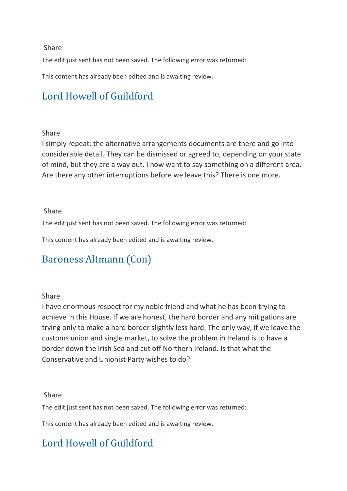### [Share](https://hansard.parliament.uk/Lords/2019-09-05/debates/0AB50141-B0D1-4B6B-B9CA-92D27BD7E06C/EuropeanUnion(Withdrawal)(No6)Bill#contribution-7EC37C9C-B2D4-4A55-9086-6769ED5B5E63)

The edit just sent has not been saved. The following error was returned:

This content has already been edited and is awaiting review.

# [Lord Howell of Guildford](https://hansard.parliament.uk/search/MemberContributions?house=Lords&memberId=993)

#### [Share](https://hansard.parliament.uk/Lords/2019-09-05/debates/0AB50141-B0D1-4B6B-B9CA-92D27BD7E06C/EuropeanUnion(Withdrawal)(No6)Bill#contribution-87155F96-D69A-4334-A8FA-2FE6715A5F02)

I simply repeat: the alternative arrangements documents are there and go into considerable detail. They can be dismissed or agreed to, depending on your state of mind, but they are a way out. I now want to say something on a different area. Are there any other interruptions before we leave this? There is one more.

### [Share](https://hansard.parliament.uk/Lords/2019-09-05/debates/0AB50141-B0D1-4B6B-B9CA-92D27BD7E06C/EuropeanUnion(Withdrawal)(No6)Bill#contribution-87155F96-D69A-4334-A8FA-2FE6715A5F02)

The edit just sent has not been saved. The following error was returned:

This content has already been edited and is awaiting review.

### [Baroness Altmann \(Con\)](https://hansard.parliament.uk/search/MemberContributions?house=Lords&memberId=4533)

### [Share](https://hansard.parliament.uk/Lords/2019-09-05/debates/0AB50141-B0D1-4B6B-B9CA-92D27BD7E06C/EuropeanUnion(Withdrawal)(No6)Bill#contribution-1B0973D5-2EBE-4B0F-9518-53E18C08F24F)

I have enormous respect for my noble friend and what he has been trying to achieve in this House. If we are honest, the hard border and any mitigations are trying only to make a hard border slightly less hard. The only way, if we leave the customs union and single market, to solve the problem in Ireland is to have a border down the Irish Sea and cut off Northern Ireland. Is that what the Conservative and Unionist Party wishes to do?

### [Share](https://hansard.parliament.uk/Lords/2019-09-05/debates/0AB50141-B0D1-4B6B-B9CA-92D27BD7E06C/EuropeanUnion(Withdrawal)(No6)Bill#contribution-1B0973D5-2EBE-4B0F-9518-53E18C08F24F)

The edit just sent has not been saved. The following error was returned:

This content has already been edited and is awaiting review.

### [Lord Howell of Guildford](https://hansard.parliament.uk/search/MemberContributions?house=Lords&memberId=993)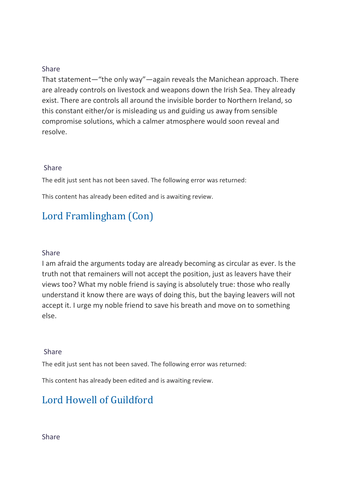### [Share](https://hansard.parliament.uk/Lords/2019-09-05/debates/0AB50141-B0D1-4B6B-B9CA-92D27BD7E06C/EuropeanUnion(Withdrawal)(No6)Bill#contribution-ABCC97C4-4C47-4BBA-A2AD-A44BE0292608)

That statement—"the only way"—again reveals the Manichean approach. There are already controls on livestock and weapons down the Irish Sea. They already exist. There are controls all around the invisible border to Northern Ireland, so this constant either/or is misleading us and guiding us away from sensible compromise solutions, which a calmer atmosphere would soon reveal and resolve.

### [Share](https://hansard.parliament.uk/Lords/2019-09-05/debates/0AB50141-B0D1-4B6B-B9CA-92D27BD7E06C/EuropeanUnion(Withdrawal)(No6)Bill#contribution-ABCC97C4-4C47-4BBA-A2AD-A44BE0292608)

The edit just sent has not been saved. The following error was returned:

This content has already been edited and is awaiting review.

# [Lord Framlingham \(Con\)](https://hansard.parliament.uk/search/MemberContributions?house=Lords&memberId=134)

### [Share](https://hansard.parliament.uk/Lords/2019-09-05/debates/0AB50141-B0D1-4B6B-B9CA-92D27BD7E06C/EuropeanUnion(Withdrawal)(No6)Bill#contribution-3E4DAD23-AD11-4595-B826-C3DCF70974A8)

I am afraid the arguments today are already becoming as circular as ever. Is the truth not that remainers will not accept the position, just as leavers have their views too? What my noble friend is saying is absolutely true: those who really understand it know there are ways of doing this, but the baying leavers will not accept it. I urge my noble friend to save his breath and move on to something else.

### [Share](https://hansard.parliament.uk/Lords/2019-09-05/debates/0AB50141-B0D1-4B6B-B9CA-92D27BD7E06C/EuropeanUnion(Withdrawal)(No6)Bill#contribution-3E4DAD23-AD11-4595-B826-C3DCF70974A8)

The edit just sent has not been saved. The following error was returned:

This content has already been edited and is awaiting review.

### [Lord Howell of Guildford](https://hansard.parliament.uk/search/MemberContributions?house=Lords&memberId=993)

[Share](https://hansard.parliament.uk/Lords/2019-09-05/debates/0AB50141-B0D1-4B6B-B9CA-92D27BD7E06C/EuropeanUnion(Withdrawal)(No6)Bill#contribution-9B343B4A-F76B-4FC7-8047-623827988990)